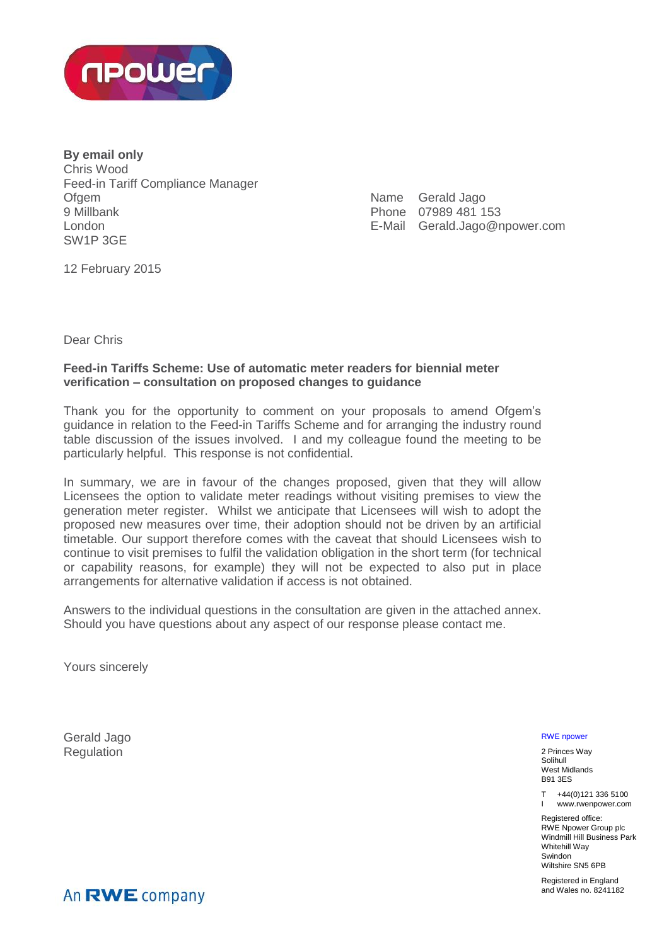

**By email only** Chris Wood Feed-in Tariff Compliance Manager **Ofgem** 9 Millbank London SW1P 3GE

| Name Gerald Jago              |
|-------------------------------|
| Phone 07989 481 153           |
| E-Mail Gerald.Jago@npower.com |

12 February 2015

Dear Chris

# **Feed-in Tariffs Scheme: Use of automatic meter readers for biennial meter verification – consultation on proposed changes to guidance**

Thank you for the opportunity to comment on your proposals to amend Ofgem's guidance in relation to the Feed-in Tariffs Scheme and for arranging the industry round table discussion of the issues involved. I and my colleague found the meeting to be particularly helpful. This response is not confidential.

In summary, we are in favour of the changes proposed, given that they will allow Licensees the option to validate meter readings without visiting premises to view the generation meter register. Whilst we anticipate that Licensees will wish to adopt the proposed new measures over time, their adoption should not be driven by an artificial timetable. Our support therefore comes with the caveat that should Licensees wish to continue to visit premises to fulfil the validation obligation in the short term (for technical or capability reasons, for example) they will not be expected to also put in place arrangements for alternative validation if access is not obtained.

Answers to the individual questions in the consultation are given in the attached annex. Should you have questions about any aspect of our response please contact me.

Yours sincerely

Gerald Jago Regulation

RWE npower

2 Princes Way Solihull West Midlands B91 3ES

T +44(0)121 336 5100 I www.rwenpower.com

Registered office: RWE Npower Group plc Windmill Hill Business Park Whitehill Way **Swindon** Wiltshire SN5 6PB

Registered in England and Wales no. 8241182

An RWE company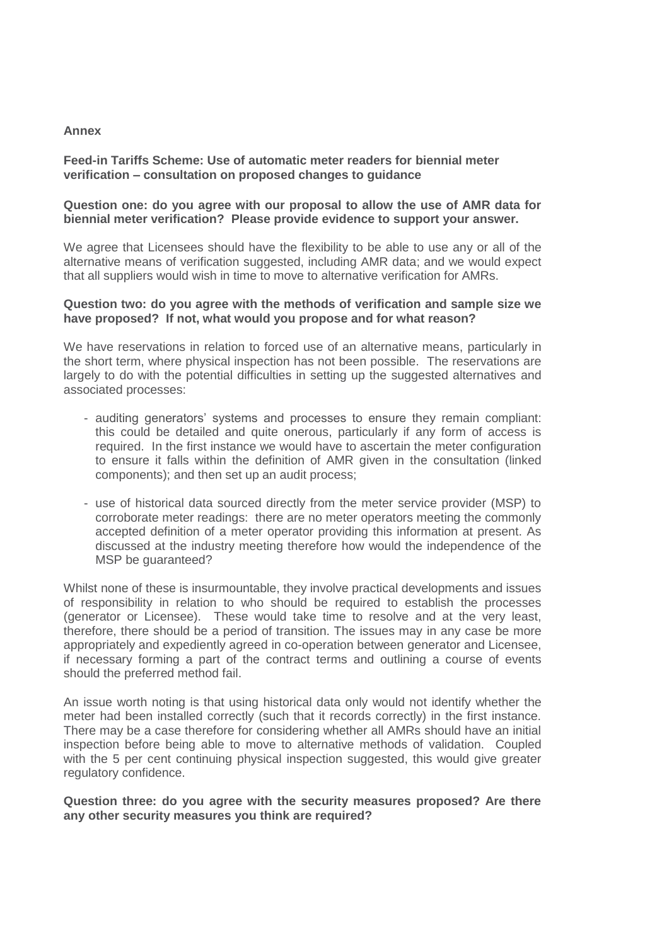#### **Annex**

## **Feed-in Tariffs Scheme: Use of automatic meter readers for biennial meter verification – consultation on proposed changes to guidance**

### **Question one: do you agree with our proposal to allow the use of AMR data for biennial meter verification? Please provide evidence to support your answer.**

We agree that Licensees should have the flexibility to be able to use any or all of the alternative means of verification suggested, including AMR data; and we would expect that all suppliers would wish in time to move to alternative verification for AMRs.

#### **Question two: do you agree with the methods of verification and sample size we have proposed? If not, what would you propose and for what reason?**

We have reservations in relation to forced use of an alternative means, particularly in the short term, where physical inspection has not been possible. The reservations are largely to do with the potential difficulties in setting up the suggested alternatives and associated processes:

- auditing generators' systems and processes to ensure they remain compliant: this could be detailed and quite onerous, particularly if any form of access is required. In the first instance we would have to ascertain the meter configuration to ensure it falls within the definition of AMR given in the consultation (linked components); and then set up an audit process;
- use of historical data sourced directly from the meter service provider (MSP) to corroborate meter readings: there are no meter operators meeting the commonly accepted definition of a meter operator providing this information at present. As discussed at the industry meeting therefore how would the independence of the MSP be guaranteed?

Whilst none of these is insurmountable, they involve practical developments and issues of responsibility in relation to who should be required to establish the processes (generator or Licensee). These would take time to resolve and at the very least, therefore, there should be a period of transition. The issues may in any case be more appropriately and expediently agreed in co-operation between generator and Licensee, if necessary forming a part of the contract terms and outlining a course of events should the preferred method fail.

An issue worth noting is that using historical data only would not identify whether the meter had been installed correctly (such that it records correctly) in the first instance. There may be a case therefore for considering whether all AMRs should have an initial inspection before being able to move to alternative methods of validation. Coupled with the 5 per cent continuing physical inspection suggested, this would give greater regulatory confidence.

**Question three: do you agree with the security measures proposed? Are there any other security measures you think are required?**